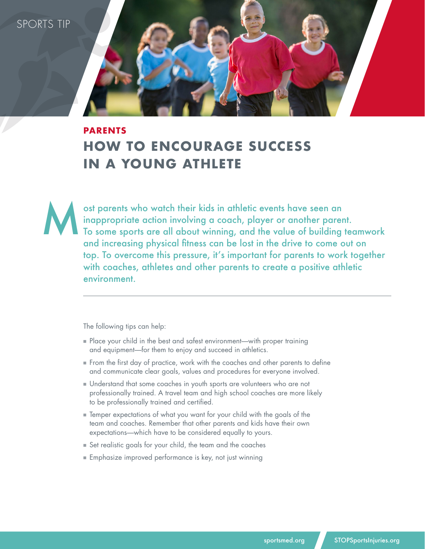SPORTS TIP

## **PARENTS HOW TO ENCOURAGE SUCCESS IN A YOUNG ATHLETE**

ost parents who watch their kids in athletic events have seen an inappropriate action involving a coach, player or another parent. To some sports are all about winning, and the value of building teamwork and increasing physical fitness can be lost in the drive to come out on top. To overcome this pressure, it's important for parents to work together with coaches, athletes and other parents to create a positive athletic environment. M

The following tips can help:

- $\blacksquare$  Place your child in the best and safest environment—with proper training and equipment—for them to enjoy and succeed in athletics.
- **From the first day of practice, work with the coaches and other parents to define** and communicate clear goals, values and procedures for everyone involved.
- **n** Understand that some coaches in youth sports are volunteers who are not professionally trained. A travel team and high school coaches are more likely to be professionally trained and certified.
- $\blacksquare$  Temper expectations of what you want for your child with the goals of the team and coaches. Remember that other parents and kids have their own expectations—which have to be considered equally to yours.
- $\blacksquare$  Set realistic goals for your child, the team and the coaches
- $\blacksquare$  Emphasize improved performance is key, not just winning